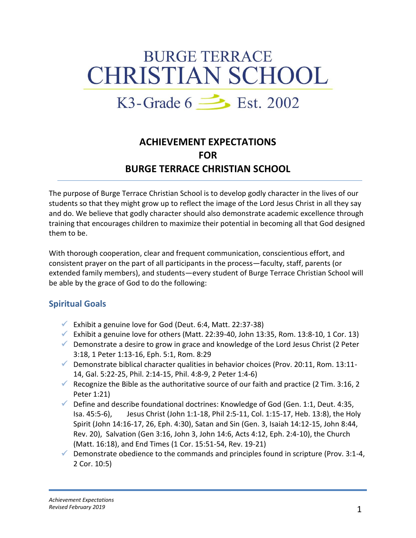# **BURGE TERRACE CHRISTIAN SCHOOL**

## K3-Grade  $6 \implies$  Est. 2002

### **ACHIEVEMENT EXPECTATIONS FOR BURGE TERRACE CHRISTIAN SCHOOL**

The purpose of Burge Terrace Christian School is to develop godly character in the lives of our students so that they might grow up to reflect the image of the Lord Jesus Christ in all they say and do. We believe that godly character should also demonstrate academic excellence through training that encourages children to maximize their potential in becoming all that God designed them to be.

With thorough cooperation, clear and frequent communication, conscientious effort, and consistent prayer on the part of all participants in the process—faculty, staff, parents (or extended family members), and students—every student of Burge Terrace Christian School will be able by the grace of God to do the following:

#### **Spiritual Goals**

- Exhibit a genuine love for God (Deut. 6:4, Matt. 22:37-38)
- Exhibit a genuine love for others (Matt. 22:39-40, John 13:35, Rom. 13:8-10, 1 Cor. 13)
- $\checkmark$  Demonstrate a desire to grow in grace and knowledge of the Lord Jesus Christ (2 Peter 3:18, 1 Peter 1:13-16, Eph. 5:1, Rom. 8:29
- Demonstrate biblical character qualities in behavior choices (Prov. 20:11, Rom. 13:11-14, Gal. 5:22-25, Phil. 2:14-15, Phil. 4:8-9, 2 Peter 1:4-6)
- Recognize the Bible as the authoritative source of our faith and practice (2 Tim. 3:16, 2 Peter 1:21)
- $\checkmark$  Define and describe foundational doctrines: Knowledge of God (Gen. 1:1, Deut. 4:35, Isa. 45:5-6), Jesus Christ (John 1:1-18, Phil 2:5-11, Col. 1:15-17, Heb. 13:8), the Holy Spirit (John 14:16-17, 26, Eph. 4:30), Satan and Sin (Gen. 3, Isaiah 14:12-15, John 8:44, Rev. 20), Salvation (Gen 3:16, John 3, John 14:6, Acts 4:12, Eph. 2:4-10), the Church (Matt. 16:18), and End Times (1 Cor. 15:51-54, Rev. 19-21)
- $\checkmark$  Demonstrate obedience to the commands and principles found in scripture (Prov. 3:1-4, 2 Cor. 10:5)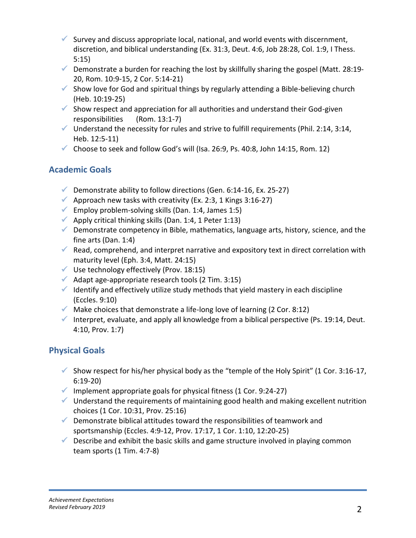- Survey and discuss appropriate local, national, and world events with discernment, discretion, and biblical understanding (Ex. 31:3, Deut. 4:6, Job 28:28, Col. 1:9, I Thess. 5:15)
- $\checkmark$  Demonstrate a burden for reaching the lost by skillfully sharing the gospel (Matt. 28:19-20, Rom. 10:9-15, 2 Cor. 5:14-21)
- $\checkmark$  Show love for God and spiritual things by regularly attending a Bible-believing church (Heb. 10:19-25)
- $\checkmark$  Show respect and appreciation for all authorities and understand their God-given responsibilities (Rom. 13:1-7)
- $\checkmark$  Understand the necessity for rules and strive to fulfill requirements (Phil. 2:14, 3:14, Heb. 12:5-11)
- Choose to seek and follow God's will (Isa. 26:9, Ps. 40:8, John 14:15, Rom. 12)

#### **Academic Goals**

- Demonstrate ability to follow directions (Gen. 6:14-16, Ex. 25-27)
- Approach new tasks with creativity (Ex. 2:3, 1 Kings 3:16-27)
- Employ problem-solving skills (Dan. 1:4, James 1:5)
- Apply critical thinking skills (Dan. 1:4, 1 Peter 1:13)
- $\checkmark$  Demonstrate competency in Bible, mathematics, language arts, history, science, and the fine arts (Dan. 1:4)
- Read, comprehend, and interpret narrative and expository text in direct correlation with maturity level (Eph. 3:4, Matt. 24:15)
- $\checkmark$  Use technology effectively (Prov. 18:15)
- $\blacklozenge$  Adapt age-appropriate research tools (2 Tim. 3:15)
- $\checkmark$  Identify and effectively utilize study methods that yield mastery in each discipline (Eccles. 9:10)
- $\checkmark$  Make choices that demonstrate a life-long love of learning (2 Cor. 8:12)
- Interpret, evaluate, and apply all knowledge from a biblical perspective (Ps. 19:14, Deut. 4:10, Prov. 1:7)

#### **Physical Goals**

- Show respect for his/her physical body as the "temple of the Holy Spirit" (1 Cor. 3:16-17, 6:19-20)
- $\checkmark$  Implement appropriate goals for physical fitness (1 Cor. 9:24-27)
- $\checkmark$  Understand the requirements of maintaining good health and making excellent nutrition choices (1 Cor. 10:31, Prov. 25:16)
- $\checkmark$  Demonstrate biblical attitudes toward the responsibilities of teamwork and sportsmanship (Eccles. 4:9-12, Prov. 17:17, 1 Cor. 1:10, 12:20-25)
- $\checkmark$  Describe and exhibit the basic skills and game structure involved in playing common team sports (1 Tim. 4:7-8)